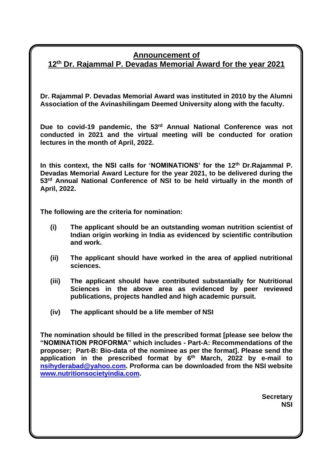### **Announcement of**

**12 th Dr. Rajammal P. Devadas Memorial Award for the year 2021**

**Dr. Rajammal P. Devadas Memorial Award was instituted in 2010 by the Alumni Association of the Avinashilingam Deemed University along with the faculty.** 

Due to covid-19 pandemic, the 53<sup>rd</sup> Annual National Conference was not **conducted in 2021 and the virtual meeting will be conducted for oration lectures in the month of April, 2022.** 

In this context, the NSI calls for 'NOMINATIONS' for the 12<sup>th</sup> Dr.Rajammal P. **Devadas Memorial Award Lecture for the year 2021, to be delivered during the 53 rd Annual National Conference of NSI to be held virtually in the month of April, 2022.**

**The following are the criteria for nomination:**

- **(i) The applicant should be an outstanding woman nutrition scientist of Indian origin working in India as evidenced by scientific contribution and work.**
- **(ii) The applicant should have worked in the area of applied nutritional sciences.**
- **(iii) The applicant should have contributed substantially for Nutritional Sciences in the above area as evidenced by peer reviewed publications, projects handled and high academic pursuit.**
- **(iv) The applicant should be a life member of NSI**

**The nomination should be filled in the prescribed format [please see below the "NOMINATION PROFORMA" which includes - Part-A: Recommendations of the proposer; Part-B: Bio-data of the nominee as per the format]. Please send the application in the prescribed format by 6 th March, 2022 by e-mail to [nsihyderabad@yahoo.com.](mailto:nsihyderabad@yahoo.com) Proforma can be downloaded from the NSI website [www.nutritionsocietyindia.com.](http://www.nutritionsocietyindia.com/)**

> **Secretary NSI**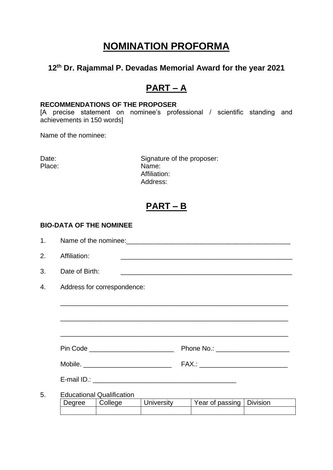# **NOMINATION PROFORMA**

### **12 th Dr. Rajammal P. Devadas Memorial Award for the year 2021**

## **PART – A**

#### **RECOMMENDATIONS OF THE PROPOSER**

[A precise statement on nominee's professional / scientific standing and achievements in 150 words]

Name of the nominee:

Place:

Date:<br>
Place:<br>
Place:<br>
Name: Affiliation: Address:

## **PART – B**

#### **BIO-DATA OF THE NOMINEE**

| 1. |                                                                       |                                                                                                                       |  |  |  |  |
|----|-----------------------------------------------------------------------|-----------------------------------------------------------------------------------------------------------------------|--|--|--|--|
| 2. | Affiliation:                                                          | <u> 1989 - Johann John Stone, markin fan de Amerikaansk kommunister (</u>                                             |  |  |  |  |
| 3. | Date of Birth:                                                        | <u> 1989 - Johann Stoff, deutscher Stoff, der Stoff, der Stoff, der Stoff, der Stoff, der Stoff, der Stoff, der S</u> |  |  |  |  |
| 4. | Address for correspondence:                                           |                                                                                                                       |  |  |  |  |
|    |                                                                       |                                                                                                                       |  |  |  |  |
|    |                                                                       |                                                                                                                       |  |  |  |  |
|    |                                                                       |                                                                                                                       |  |  |  |  |
|    |                                                                       |                                                                                                                       |  |  |  |  |
|    |                                                                       | FAX.: ______________________________                                                                                  |  |  |  |  |
|    |                                                                       |                                                                                                                       |  |  |  |  |
| 5. | <b>Educational Qualification</b><br>University<br>  College<br>Degree | Year of passing   Division                                                                                            |  |  |  |  |